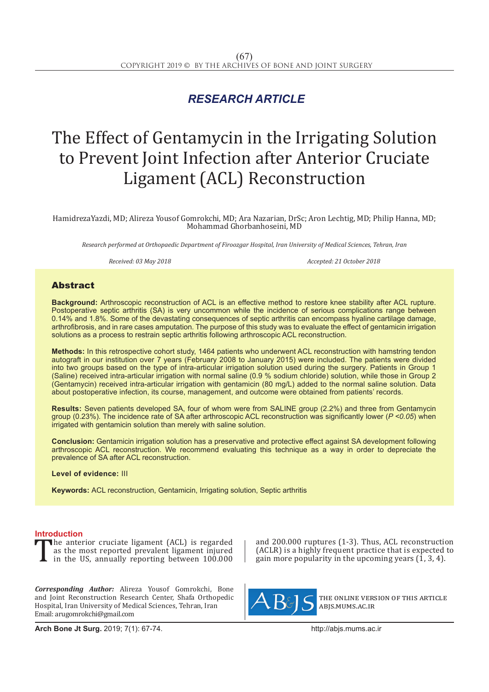## *RESEARCH ARTICLE*

# The Effect of Gentamycin in the Irrigating Solution to Prevent Joint Infection after Anterior Cruciate Ligament (ACL) Reconstruction

HamidrezaYazdi, MD; Alireza Yousof Gomrokchi, MD; Ara Nazarian, DrSc; Aron Lechtig, MD; Philip Hanna, MD; Mohammad Ghorbanhoseini, MD

*Research performed at Orthopaedic Department of Firoozgar Hospital, Iran University of Medical Sciences, Tehran, Iran*

*Received: 03 May 2018 Accepted: 21 October 2018*

### Abstract

**Background:** Arthroscopic reconstruction of ACL is an effective method to restore knee stability after ACL rupture. Postoperative septic arthritis (SA) is very uncommon while the incidence of serious complications range between 0.14% and 1.8%. Some of the devastating consequences of septic arthritis can encompass hyaline cartilage damage, arthrofibrosis, and in rare cases amputation. The purpose of this study was to evaluate the effect of gentamicin irrigation solutions as a process to restrain septic arthritis following arthroscopic ACL reconstruction.

**Methods:** In this retrospective cohort study, 1464 patients who underwent ACL reconstruction with hamstring tendon autograft in our institution over 7 years (February 2008 to January 2015) were included. The patients were divided into two groups based on the type of intra-articular irrigation solution used during the surgery. Patients in Group 1 (Saline) received intra-articular irrigation with normal saline (0.9 % sodium chloride) solution, while those in Group 2 (Gentamycin) received intra-articular irrigation with gentamicin (80 mg/L) added to the normal saline solution. Data about postoperative infection, its course, management, and outcome were obtained from patients' records.

**Results:** Seven patients developed SA, four of whom were from SALINE group (2.2%) and three from Gentamycin group (0.23%). The incidence rate of SA after arthroscopic ACL reconstruction was significantly lower (*P <0.05*) when irrigated with gentamicin solution than merely with saline solution.

**Conclusion:** Gentamicin irrigation solution has a preservative and protective effect against SA development following arthroscopic ACL reconstruction. We recommend evaluating this technique as a way in order to depreciate the prevalence of SA after ACL reconstruction.

**Level of evidence:** III

**Keywords:** ACL reconstruction, Gentamicin, Irrigating solution, Septic arthritis

**Introduction**<br>The anterior cruciate ligament (ACL) is regarded The anterior cruciate ligament (ACL) is regarded<br>as the most reported prevalent ligament injured<br>in the US, annually reporting between 100.000 as the most reported prevalent ligament injured in the US, annually reporting between 100.000

*Corresponding Author:* Alireza Yousof Gomrokchi, Bone and Joint Reconstruction Research Center, Shafa Orthopedic Hospital, Iran University of Medical Sciences, Tehran, Iran Email: arugomrokchi@gmail.com

and 200.000 ruptures (1-3). Thus, ACL reconstruction (ACLR) is a highly frequent practice that is expected to gain more popularity in the upcoming years  $(1, 3, 4)$ .



the online version of this article abjs.mums.ac.ir

**Arch Bone Jt Surg.** 2019; 7(1): 67-74.http://abjs.mums.ac.ir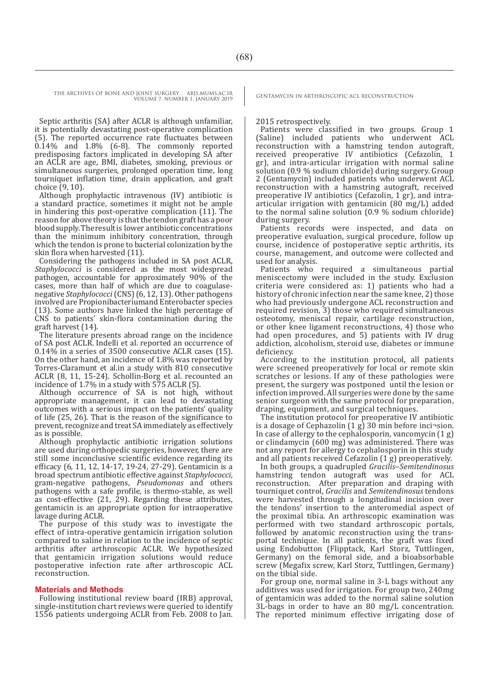Septic arthritis (SA) after ACLR is although unfamiliar, it is potentially devastating post-operative complication (5). The reported occurrence rate fluctuates between 0.14% and 1.8% (6-8). The commonly reported predisposing factors implicated in developing SA after an ACLR are age, BMI, diabetes, smoking, previous or simultaneous surgeries, prolonged operation time, long tourniquet inflation time, drain application, and graft choice (9, 10).

Although prophylactic intravenous (IV) antibiotic is a standard practice, sometimes it might not be ample in hindering this post-operative complication (11). The reason for above theory is that the tendon graft has a poor blood supply. The result is lower antibiotic concentrations than the minimum inhibitory concentration, through which the tendon is prone to bacterial colonization by the skin flora when harvested (11).

Considering the pathogens included in SA post ACLR, *Staphylococci* is considered as the most widespread pathogen, accountable for approximately 90% of the cases, more than half of which are due to coagulase-negative *Staphylococci* (CNS) (6, 12, 13). Other pathogens involved are Propionibacteriumand Enterobacter species (13). Some authors have linked the high percentage of CNS to patients' skin-flora contamination during the graft harvest (14).

The literature presents abroad range on the incidence of SA post ACLR. Indelli et al. reported an occurrence of 0.14% in a series of 3500 consecutive ACLR cases (15). On the other hand, an incidence of 1.8% was reported by Torres-Claramunt et al.in a study with 810 consecutive ACLR (8, 11, 15-24). Schollin-Borg et al. recounted an incidence of 1.7% in a study with 575 ACLR (5).

Although occurrence of SA is not high, without appropriate management, it can lead to devastating outcomes with a serious impact on the patients' quality of life (25, 26). That is the reason of the significance to prevent, recognize and treat SA immediately as effectively as is possible.

Although prophylactic antibiotic irrigation solutions are used during orthopedic surgeries, however, there are still some inconclusive scientific evidence regarding its efficacy (6, 11, 12, 14-17, 19-24, 27-29). Gentamicin is a broad spectrum antibiotic effective against *Staphylococci*, gram-negative pathogens, *Pseudomonas* and others pathogens with a safe profile, is thermo-stable, as well as cost-effective (21, 29). Regarding these attributes, gentamicin is an appropriate option for intraoperative lavage during ACLR.

The purpose of this study was to investigate the effect of intra-operative gentamicin irrigation solution compared to saline in relation to the incidence of septic arthritis after arthroscopic ACLR. We hypothesized that gentamicin irrigation solutions would reduce postoperative infection rate after arthroscopic ACL reconstruction.

#### **Materials and Methods**

Following institutional review board (IRB) approval, single-institution chart reviews were queried to identify 1556 patients undergoing ACLR from Feb. 2008 to Jan.

#### 2015 retrospectively.

Patients were classified in two groups. Group 1 (Saline) included patients who underwent ACL reconstruction with a hamstring tendon autograft, received preoperative IV antibiotics (Cefazolin, 1 gr), and intra-articular irrigation with normal saline solution (0.9 % sodium chloride) during surgery. Group 2 (Gentamycin) included patients who underwent ACL reconstruction with a hamstring autograft, received preoperative IV antibiotics (Cefazolin, 1 gr), and intraarticular irrigation with gentamicin (80 mg/L) added to the normal saline solution (0.9 % sodium chloride) during surgery.

Patients records were inspected, and data on preoperative evaluation, surgical procedure, follow up course, incidence of postoperative septic arthritis, its course, management, and outcome were collected and used for analysis.

Patients who required a simultaneous partial meniscectomy were included in the study. Exclusion criteria were considered as: 1) patients who had a history of chronic infection near the same knee, 2) those who had previously undergone ACL reconstruction and required revision, 3) those who required simultaneous osteotomy, meniscal repair, cartilage reconstruction, or other knee ligament reconstructions, 4) those who had open procedures, and 5) patients with IV drug addiction, alcoholism, steroid use, diabetes or immune deficiency.

According to the institution protocol, all patients were screened preoperatively for local or remote skin scratches or lesions. If any of these pathologies were present, the surgery was postponed until the lesion or infection improved. All surgeries were done by the same senior surgeon with the same protocol for preparation, draping, equipment, and surgical techniques.

The institution protocol for preoperative IV antibiotic is a dosage of Cephazolin (1 g) 30 min before inci¬sion. In case of allergy to the cephalosporin, vancomycin (1 g) or clindamycin (600 mg) was administered. There was not any report for allergy to cephalosporin in this study and all patients received Cefazolin (1 g) preoperatively.

In both groups, a quadrupled *Gracilis–Semitendinosus*  hamstring tendon autograft was used for ACL reconstruction. After preparation and draping with tourniquet control, *Gracilis* and *Semitendinosus* tendons were harvested through a longitudinal incision over the tendons' insertion to the anteromedial aspect of the proximal tibia. An arthroscopic examination was performed with two standard arthroscopic portals, followed by anatomic reconstruction using the transportal technique. In all patients, the graft was fixed using Endobutton (Flipptack, Karl Storz, Tuttlingen, Germany) on the femoral side, and a bioabsorbable screw (Megafix screw, Karl Storz, Tuttlingen, Germany) on the tibial side.

For group one, normal saline in 3-L bags without any additives was used for irrigation. For group two, 240mg of gentamicin was added to the normal saline solution 3L-bags in order to have an 80 mg/L concentration. The reported minimum effective irrigating dose of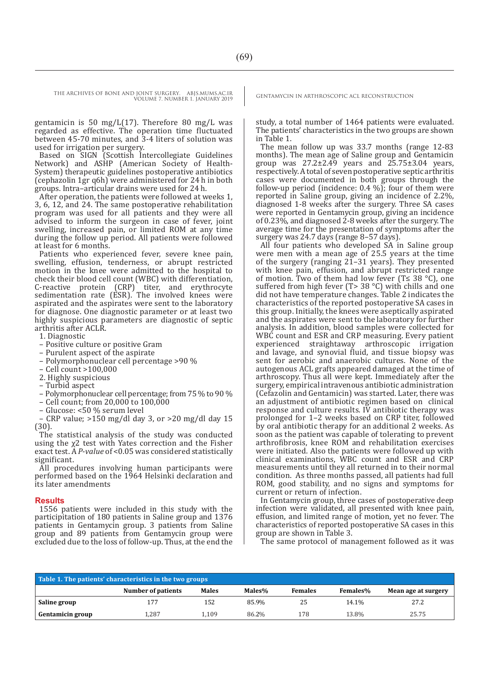gentamicin is 50 mg/ $L(17)$ . Therefore 80 mg/ $L$  was regarded as effective. The operation time fluctuated between 45-70 minutes, and 3-4 liters of solution was used for irrigation per surgery.

Based on SIGN (Scottish Intercollegiate Guidelines Network) and ASHP (American Society of Health-System) therapeutic guidelines postoperative antibiotics (cephazolin 1gr q6h) were administered for 24 h in both groups. Intra–articular drains were used for 24 h.

After operation, the patients were followed at weeks 1, 3, 6, 12, and 24. The same postoperative rehabilitation program was used for all patients and they were all advised to inform the surgeon in case of fever, joint swelling, increased pain, or limited ROM at any time during the follow up period. All patients were followed at least for 6 months.

Patients who experienced fever, severe knee pain, swelling, effusion, tenderness, or abrupt restricted motion in the knee were admitted to the hospital to check their blood cell count (WBC) with differentiation, C-reactive protein (CRP) titer, and erythrocyte sedimentation rate (ESR). The involved knees were aspirated and the aspirates were sent to the laboratory for diagnose. One diagnostic parameter or at least two highly suspicious parameters are diagnostic of septic arthritis after ACLR.

1. Diagnostic

- Positive culture or positive Gram
- Purulent aspect of the aspirate
- Polymorphonuclear cell percentage >90 %
- Cell count >100,000
- 2. Highly suspicious
- Turbid aspect
- Polymorphonuclear cell percentage; from 75 % to 90 %
- Cell count; from 20,000 to 100,000
- Glucose: <50 % serum level

– CRP value; >150 mg/dl day 3, or >20 mg/dl day 15 (30).

The statistical analysis of the study was conducted using the  $\chi$ 2 test with Yates correction and the Fisher exact test. A *P-value* of <0.05 was considered statistically significant.

All procedures involving human participants were performed based on the 1964 Helsinki declaration and its later amendments

#### **Results**

1556 patients were included in this study with the participitation of 180 patients in Saline group and 1376 patients in Gentamycin group. 3 patients from Saline group and 89 patients from Gentamycin group were excluded due to the loss of follow-up. Thus, at the end the

study, a total number of 1464 patients were evaluated. The patients' characteristics in the two groups are shown in Table 1.

The mean follow up was 33.7 months (range 12-83 months). The mean age of Saline group and Gentamicin group was  $27.2 \pm 2.49$  years and  $25.75 \pm 3.04$  years, respectively. A total of seven postoperative septic arthritis cases were documented in both groups through the follow-up period (incidence: 0.4 %); four of them were reported in Saline group, giving an incidence of 2.2%, diagnosed 1-8 weeks after the surgery. Three SA cases were reported in Gentamycin group, giving an incidence of 0.23%, and diagnosed 2-8 weeks after the surgery. The average time for the presentation of symptoms after the surgery was 24.7 days (range 8–57 days).

All four patients who developed SA in Saline group were men with a mean age of 25.5 years at the time of the surgery (ranging  $2\overline{1}$ –31 years). They presented with knee pain, effusion, and abrupt restricted range of motion. Two of them had low fever (T≤ 38  $°C$ ), one suffered from high fever (T> 38  $^{\circ}$ C) with chills and one did not have temperature changes. Table 2 indicates the characteristics of the reported postoperative SA cases in this group. Initially, the knees were aseptically aspirated and the aspirates were sent to the laboratory for further analysis. In addition, blood samples were collected for WBC count and ESR and CRP measuring. Every patient experienced straightaway arthroscopic irrigation and lavage, and synovial fluid, and tissue biopsy was sent for aerobic and anaerobic cultures. None of the autogenous ACL grafts appeared damaged at the time of arthroscopy. Thus all were kept. Immediately after the surgery, empirical intravenous antibiotic administration (Cefazolin and Gentamicin) was started. Later, there was an adjustment of antibiotic regimen based on clinical response and culture results. IV antibiotic therapy was prolonged for 1–2 weeks based on CRP titer, followed by oral antibiotic therapy for an additional 2 weeks. As soon as the patient was capable of tolerating to prevent arthrofibrosis, knee ROM and rehabilitation exercises were initiated. Also the patients were followed up with clinical examinations, WBC count and ESR and CRP measurements until they all returned in to their normal condition. As three months passed, all patients had full ROM, good stability, and no signs and symptoms for current or return of infection.

In Gentamycin group, three cases of postoperative deep infection were validated, all presented with knee pain, effusion, and limited range of motion, yet no fever. The characteristics of reported postoperative SA cases in this group are shown in Table 3.

The same protocol of management followed as it was

| Table 1. The patients' characteristics in the two groups |                    |              |        |                |                 |                     |  |  |  |
|----------------------------------------------------------|--------------------|--------------|--------|----------------|-----------------|---------------------|--|--|--|
|                                                          | Number of patients | <b>Males</b> | Males% | <b>Females</b> | <b>Females%</b> | Mean age at surgery |  |  |  |
| Saline group                                             | 177                | 152          | 85.9%  | 25             | 14.1%           | 27.2                |  |  |  |
| <b>Gentamicin group</b>                                  | 1.287              | 1.109        | 86.2%  | 178            | 13.8%           | 25.75               |  |  |  |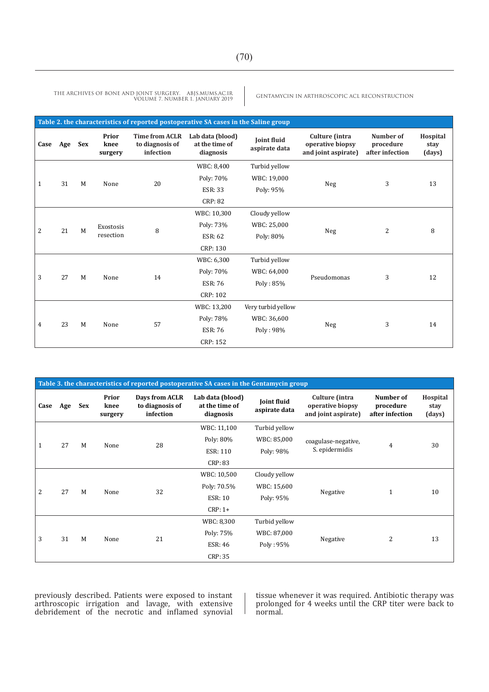THE ARCHIVES OF BONE AND JOINT SURGERY. ABJS.MUMS.AC.IR GENTAMYCIN IN ARTHROSCOPIC ACL RECONSTRUCTION<br>Volume 7. Number 1. January 2019

| Table 2. the characteristics of reported postoperative SA cases in the Saline group |     |            |                          |                                                       |                                                 |                              |                                                           |                                           |                            |
|-------------------------------------------------------------------------------------|-----|------------|--------------------------|-------------------------------------------------------|-------------------------------------------------|------------------------------|-----------------------------------------------------------|-------------------------------------------|----------------------------|
| Case                                                                                | Age | <b>Sex</b> | Prior<br>knee<br>surgery | <b>Time from ACLR</b><br>to diagnosis of<br>infection | Lab data (blood)<br>at the time of<br>diagnosis | Joint fluid<br>aspirate data | Culture (intra<br>operative biopsy<br>and joint aspirate) | Number of<br>procedure<br>after infection | Hospital<br>stay<br>(days) |
| 31                                                                                  |     |            |                          |                                                       | WBC: 8,400                                      | Turbid yellow                |                                                           |                                           |                            |
|                                                                                     | M   | None       | 20                       | Poly: 70%                                             | WBC: 19,000                                     |                              | 3                                                         | 13                                        |                            |
| 1                                                                                   |     |            |                          |                                                       | <b>ESR: 33</b>                                  | Poly: 95%                    | Neg                                                       |                                           |                            |
|                                                                                     |     |            |                          | <b>CRP: 82</b>                                        |                                                 |                              |                                                           |                                           |                            |
|                                                                                     |     |            | Exostosis<br>resection   | 8                                                     | WBC: 10,300                                     | Cloudy yellow                | Neg                                                       | $\overline{2}$                            | 8                          |
| 21<br>$\overline{2}$                                                                |     |            |                          |                                                       | Poly: 73%                                       | WBC: 25,000                  |                                                           |                                           |                            |
|                                                                                     |     | M          |                          |                                                       | <b>ESR: 62</b>                                  | Poly: 80%                    |                                                           |                                           |                            |
|                                                                                     |     |            |                          | CRP: 130                                              |                                                 |                              |                                                           |                                           |                            |
| 27<br>3                                                                             |     |            |                          | 14                                                    | WBC: 6,300                                      | Turbid yellow                | Pseudomonas                                               | 3                                         | 12                         |
|                                                                                     |     | M          | None                     |                                                       | Poly: 70%                                       | WBC: 64,000                  |                                                           |                                           |                            |
|                                                                                     |     |            |                          |                                                       | <b>ESR: 76</b>                                  | Poly: 85%                    |                                                           |                                           |                            |
|                                                                                     |     |            |                          |                                                       | CRP: 102                                        |                              |                                                           |                                           |                            |
| 23<br>4                                                                             |     |            | None                     | 57                                                    | WBC: 13,200                                     | Very turbid yellow           | Neg                                                       | 3                                         | 14                         |
|                                                                                     |     | M          |                          |                                                       | Poly: 78%                                       | WBC: 36,600                  |                                                           |                                           |                            |
|                                                                                     |     |            |                          |                                                       | <b>ESR: 76</b>                                  | Poly: 98%                    |                                                           |                                           |                            |
|                                                                                     |     |            |                          |                                                       | CRP: 152                                        |                              |                                                           |                                           |                            |

| Table 3. the characteristics of reported postoperative SA cases in the Gentamycin group |     |     |                          |                                                |                                                 |                              |                                                           |                                           |                            |
|-----------------------------------------------------------------------------------------|-----|-----|--------------------------|------------------------------------------------|-------------------------------------------------|------------------------------|-----------------------------------------------------------|-------------------------------------------|----------------------------|
| Case                                                                                    | Age | Sex | Prior<br>knee<br>surgery | Days from ACLR<br>to diagnosis of<br>infection | Lab data (blood)<br>at the time of<br>diagnosis | Joint fluid<br>aspirate data | Culture (intra<br>operative biopsy<br>and joint aspirate) | Number of<br>procedure<br>after infection | Hospital<br>stay<br>(days) |
| 27<br>$\mathbf{1}$                                                                      |     | M   | None                     | 28                                             | WBC: 11,100                                     | Turbid yellow                | coagulase-negative,<br>S. epidermidis                     | $\overline{4}$                            | 30                         |
|                                                                                         |     |     |                          |                                                | Poly: 80%                                       | WBC: 85,000                  |                                                           |                                           |                            |
|                                                                                         |     |     |                          |                                                | <b>ESR: 110</b>                                 | Poly: 98%                    |                                                           |                                           |                            |
|                                                                                         |     |     |                          |                                                | CRP: 83                                         |                              |                                                           |                                           |                            |
| 27<br>2                                                                                 |     | M   | None                     | 32                                             | WBC: 10,500                                     | Cloudy yellow                | Negative                                                  | $\mathbf{1}$                              | 10                         |
|                                                                                         |     |     |                          |                                                | Poly: 70.5%                                     | WBC: 15,600                  |                                                           |                                           |                            |
|                                                                                         |     |     |                          |                                                | <b>ESR: 10</b>                                  | Poly: 95%                    |                                                           |                                           |                            |
|                                                                                         |     |     |                          |                                                | $CRP: 1+$                                       |                              |                                                           |                                           |                            |
| 3                                                                                       |     | M   |                          | 21<br>None                                     | WBC: 8,300                                      | Turbid yellow                | Negative                                                  | $\overline{2}$                            | 13                         |
|                                                                                         | 31  |     |                          |                                                | Poly: 75%                                       | WBC: 87,000                  |                                                           |                                           |                            |
|                                                                                         |     |     |                          |                                                | <b>ESR: 46</b>                                  | Poly: 95%                    |                                                           |                                           |                            |
|                                                                                         |     |     |                          |                                                | CRP: 35                                         |                              |                                                           |                                           |                            |

previously described. Patients were exposed to instant arthroscopic irrigation and lavage, with extensive debridement of the necrotic and inflamed synovial tissue whenever it was required. Antibiotic therapy was prolonged for 4 weeks until the CRP titer were back to normal.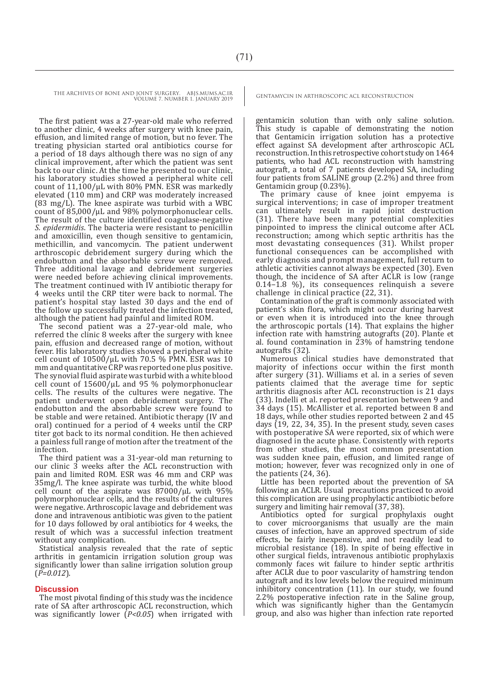The first patient was a 27-year-old male who referred to another clinic, 4 weeks after surgery with knee pain, effusion, and limited range of motion, but no fever. The treating physician started oral antibiotics course for a period of 18 days although there was no sign of any clinical improvement, after which the patient was sent back to our clinic. At the time he presented to our clinic, his laboratory studies showed a peripheral white cell count of  $11,100/\mu L$  with 80% PMN. ESR was markedly elevated (110 mm) and CRP was moderately increased (83 mg/L). The knee aspirate was turbid with a WBC count of 85,000/μL and 98% polymorphonuclear cells. The result of the culture identified coagulase-negative *S. epidermidis*. The bacteria were resistant to penicillin and amoxicillin, even though sensitive to gentamicin, methicillin, and vancomycin. The patient underwent arthroscopic debridement surgery during which the endobutton and the absorbable screw were removed. Three additional lavage and debridement surgeries were needed before achieving clinical improvements. The treatment continued with IV antibiotic therapy for 4 weeks until the CRP titer were back to normal. The patient's hospital stay lasted 30 days and the end of the follow up successfully treated the infection treated, although the patient had painful and limited ROM.

The second patient was a 27-year-old male, who referred the clinic 8 weeks after the surgery with knee pain, effusion and decreased range of motion, without fever. His laboratory studies showed a peripheral white cell count of  $10500/\mu L$  with 70.5 % PMN. ESR was 10 mm and quantitative CRP was reported one plus positive. The synovial fluid aspirate was turbid with a white blood cell count of 15600/μL and 95 % polymorphonuclear cells. The results of the cultures were negative. The patient underwent open debridement surgery. The endobutton and the absorbable screw were found to be stable and were retained. Antibiotic therapy (IV and oral) continued for a period of 4 weeks until the CRP titer got back to its normal condition. He then achieved a painless full range of motion after the treatment of the infection.

The third patient was a 31-year-old man returning to our clinic 3 weeks after the ACL reconstruction with pain and limited ROM. ESR was 46 mm and CRP was 35mg/l. The knee aspirate was turbid, the white blood cell count of the aspirate was 87000/μL with 95% polymorphonuclear cells, and the results of the cultures were negative. Arthroscopic lavage and debridement was done and intravenous antibiotic was given to the patient for 10 days followed by oral antibiotics for 4 weeks, the result of which was a successful infection treatment without any complication.

Statistical analysis revealed that the rate of septic arthritis in gentamicin irrigation solution group was significantly lower than saline irrigation solution group (*P=0.012*).

#### **Discussion**

The most pivotal finding of this study was the incidence rate of SA after arthroscopic ACL reconstruction, which was significantly lower (*P<0.05*) when irrigated with

gentamicin solution than with only saline solution. This study is capable of demonstrating the notion that Gentamicin irrigation solution has a protective effect against SA development after arthroscopic ACL reconstruction. In this retrospective cohort study on 1464 patients, who had ACL reconstruction with hamstring autograft, a total of 7 patients developed SA, including four patients from SALINE group (2.2%) and three from Gentamicin group (0.23%).

The primary cause of knee joint empyema is surgical interventions; in case of improper treatment can ultimately result in rapid joint destruction (31). There have been many potential complexities pinpointed to impress the clinical outcome after ACL reconstruction; among which septic arthritis has the most devastating consequences (31). Whilst proper functional consequences can be accomplished with early diagnosis and prompt management, full return to athletic activities cannot always be expected (30). Even though, the incidence of SA after ACLR is low (range  $0.14-1.8$  %), its consequences relinquish a severe challenge in clinical practice (22, 31).

Contamination of the graft is commonly associated with patient's skin flora, which might occur during harvest or even when it is introduced into the knee through the arthroscopic portals (14). That explains the higher infection rate with hamstring autografts (20). Plante et al. found contamination in 23% of hamstring tendone autografts (32).

Numerous clinical studies have demonstrated that majority of infections occur within the first month after surgery (31). Williams et al. in a series of seven patients claimed that the average time for septic arthritis diagnosis after ACL reconstruction is 21 days (33). Indelli et al. reported presentation between 9 and 34 days (15). McAllister et al. reported between 8 and 18 days, while other studies reported between 2 and 45 days (19, 22, 34, 35). In the present study, seven cases with postoperative SA were reported, six of which were diagnosed in the acute phase. Consistently with reports from other studies, the most common presentation was sudden knee pain, effusion, and limited range of motion; however, fever was recognized only in one of the patients (24, 36).

Little has been reported about the prevention of SA following an ACLR. Usual precautions practiced to avoid this complication are using prophylactic antibiotic before surgery and limiting hair removal (37, 38).

Antibiotics opted for surgical prophylaxis ought to cover microorganisms that usually are the main causes of infection, have an approved spectrum of side effects, be fairly inexpensive, and not readily lead to microbial resistance (18). In spite of being effective in other surgical fields, intravenous antibiotic prophylaxis commonly faces wit failure to hinder septic arthritis after ACLR due to poor vascularity of hamstring tendon autograft and its low levels below the required minimum inhibitory concentration (11). In our study, we found 2.2% postoperative infection rate in the Saline group, which was significantly higher than the Gentamycin group, and also was higher than infection rate reported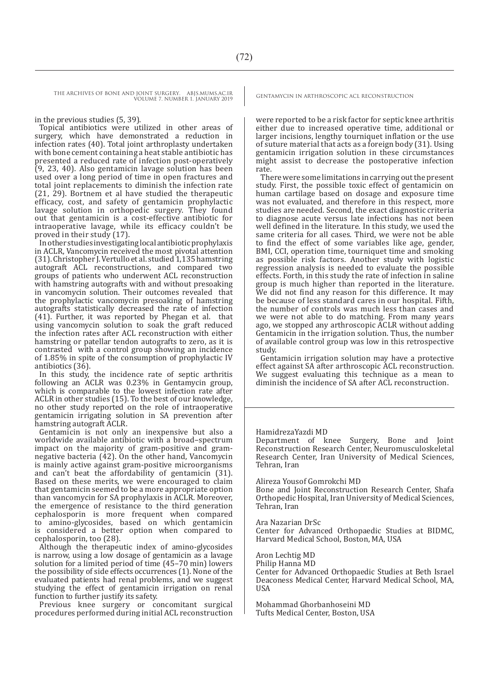in the previous studies (5, 39).

Topical antibiotics were utilized in other areas of surgery, which have demonstrated a reduction in infection rates (40). Total joint arthroplasty undertaken with bone cement containing a heat stable antibiotic has presented a reduced rate of infection post-operatively (9, 23, 40). Also gentamicin lavage solution has been used over a long period of time in open fractures and total joint replacements to diminish the infection rate (21, 29). Bortnem et al have studied the therapeutic efficacy, cost, and safety of gentamicin prophylactic lavage solution in orthopedic surgery. They found out that gentamicin is a cost-effective antibiotic for intraoperative lavage, while its efficacy couldn't be proved in their study (17).

In other studies investigating local antibiotic prophylaxis in ACLR, Vancomycin received the most pivotal attention (31). Christopher J. Vertullo et al. studied 1,135 hamstring autograft ACL reconstructions, and compared two groups of patients who underwent ACL reconstruction with hamstring autografts with and without presoaking in vancomycin solution. Their outcomes revealed that the prophylactic vancomycin presoaking of hamstring autografts statistically decreased the rate of infection (41). Further, it was reported by Phegan et al. that using vancomycin solution to soak the graft reduced the infection rates after ACL reconstruction with either hamstring or patellar tendon autografts to zero, as it is contrasted with a control group showing an incidence of 1.85% in spite of the consumption of prophylactic IV antibiotics (36).

In this study, the incidence rate of septic arthritis following an ACLR was 0.23% in Gentamycin group, which is comparable to the lowest infection rate after ACLR in other studies (15). To the best of our knowledge, no other study reported on the role of intraoperative gentamicin irrigating solution in SA prevention after hamstring autograft ACLR.

Gentamicin is not only an inexpensive but also a worldwide available antibiotic with a broad–spectrum impact on the majority of gram-positive and gramnegative bacteria (42). On the other hand, Vancomycin is mainly active against gram-positive microorganisms and can't beat the affordability of gentamicin (31). Based on these merits, we were encouraged to claim that gentamicin seemed to be a more appropriate option than vancomycin for SA prophylaxis in ACLR. Moreover, the emergence of resistance to the third generation cephalosporin is more frequent when compared to amino-glycosides, based on which gentamicin is considered a better option when compared to cephalosporin, too (28).

Although the therapeutic index of amino-glycosides is narrow, using a low dosage of gentamicin as a lavage solution for a limited period of time (45–70 min) lowers the possibility of side effects occurrences (1). None of the evaluated patients had renal problems, and we suggest studying the effect of gentamicin irrigation on renal function to further justify its safety.

Previous knee surgery or concomitant surgical procedures performed during initial ACL reconstruction

were reported to be a risk factor for septic knee arthritis either due to increased operative time, additional or larger incisions, lengthy tourniquet inflation or the use of suture material that acts as a foreign body (31). Using gentamicin irrigation solution in these circumstances might assist to decrease the postoperative infection rate.

There were some limitations in carrying out the present study. First, the possible toxic effect of gentamicin on human cartilage based on dosage and exposure time was not evaluated, and therefore in this respect, more studies are needed. Second, the exact diagnostic criteria to diagnose acute versus late infections has not been well defined in the literature. In this study, we used the same criteria for all cases. Third, we were not be able to find the effect of some variables like age, gender, BMI, CCI, operation time, tourniquet time and smoking as possible risk factors. Another study with logistic regression analysis is needed to evaluate the possible effects. Forth, in this study the rate of infection in saline group is much higher than reported in the literature. We did not find any reason for this difference. It may be because of less standard cares in our hospital. Fifth, the number of controls was much less than cases and we were not able to do matching. From many years ago, we stopped any arthroscopic ACLR without adding Gentamicin in the irrigation solution. Thus, the number of available control group was low in this retrospective study.

Gentamicin irrigation solution may have a protective effect against SA after arthroscopic ACL reconstruction. We suggest evaluating this technique as a mean to diminish the incidence of SA after ACL reconstruction.

#### HamidrezaYazdi MD

Department of knee Surgery, Bone and Joint Reconstruction Research Center, Neuromusculoskeletal Research Center, Iran University of Medical Sciences, Tehran, Iran

#### Alireza Yousof Gomrokchi MD

Bone and Joint Reconstruction Research Center, Shafa Orthopedic Hospital, Iran University of Medical Sciences, Tehran, Iran

Ara Nazarian DrSc

Center for Advanced Orthopaedic Studies at BIDMC, Harvard Medical School, Boston, MA, USA

Aron Lechtig MD

Philip Hanna MD Center for Advanced Orthopaedic Studies at Beth Israel Deaconess Medical Center, Harvard Medical School, MA, USA

Mohammad Ghorbanhoseini MD Tufts Medical Center, Boston, USA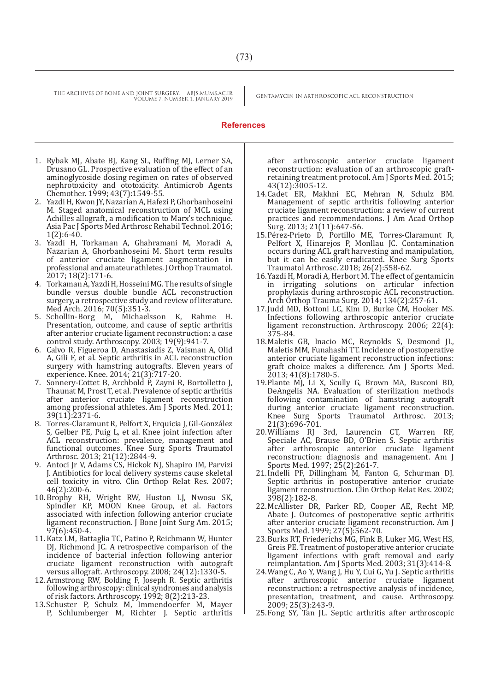#### **References**

- 1. Rybak MJ, Abate BJ, Kang SL, Ruffing MJ, Lerner SA, Drusano GL. Prospective evaluation of the effect of an aminoglycoside dosing regimen on rates of observed nephrotoxicity and ototoxicity. Antimicrob Agents Chemother. 1999; 43(7):1549-55.
- 2. Yazdi H, Kwon JY, Nazarian A, Hafezi P, Ghorbanhoseini M. Staged anatomical reconstruction of MCL using Achilles allograft, a modification to Marx's technique. Asia Pac J Sports Med Arthrosc Rehabil Technol. 2016; 1(2):6-40.
- 3. Yazdi H, Torkaman A, Ghahramani M, Moradi A, Nazarian A, Ghorbanhoseini M. Short term results of anterior cruciate ligament augmentation in professional and amateur athletes. J Orthop Traumatol. 2017; 18(2):171-6.
- 4. Torkaman A, Yazdi H, Hosseini MG. The results of single bundle versus double bundle ACL reconstruction surgery, a retrospective study and review of literature. Med Arch. 2016; 70(5):351-3.
- 5. Schollin-Borg M, Michaelsson K, Rahme H. Presentation, outcome, and cause of septic arthritis after anterior cruciate ligament reconstruction: a case control study. Arthroscopy. 2003; 19(9):941-7.
- 6. Calvo R, Figueroa D, Anastasiadis Z, Vaisman A, Olid A, Gili F, et al. Septic arthritis in ACL reconstruction surgery with hamstring autografts. Eleven years of experience. Knee. 2014; 21(3):717-20.
- 7. Sonnery-Cottet B, Archbold P, Zayni R, Bortolletto J, Thaunat M, Prost T, et al. Prevalence of septic arthritis after anterior cruciate ligament reconstruction among professional athletes. Am J Sports Med. 2011; 39(11):2371-6.
- 8. Torres-Claramunt R, Pelfort X, Erquicia J, Gil-González S, Gelber PE, Puig L, et al. Knee joint infection after ACL reconstruction: prevalence, management and functional outcomes. Knee Surg Sports Traumatol Arthrosc. 2013; 21(12):2844-9.
- 9. Antoci Jr V, Adams CS, Hickok NJ, Shapiro IM, Parvizi J. Antibiotics for local delivery systems cause skeletal cell toxicity in vitro. Clin Orthop Relat Res. 2007; 46(2):200-6.
- 10.Brophy RH, Wright RW, Huston LJ, Nwosu SK, Spindler KP, MOON Knee Group, et al. Factors associated with infection following anterior cruciate ligament reconstruction. J Bone Joint Surg Am. 2015; 97(6):450-4.
- 11.Katz LM, Battaglia TC, Patino P, Reichmann W, Hunter DI. Richmond IC. A retrospective comparison of the incidence of bacterial infection following anterior cruciate ligament reconstruction with autograft versus allograft. Arthroscopy. 2008; 24(12):1330-5.
- 12.Armstrong RW, Bolding F, Joseph R. Septic arthritis following arthroscopy: clinical syndromes and analysis of risk factors. Arthroscopy. 1992; 8(2):213-23.
- 13.Schuster P, Schulz M, Immendoerfer M, Mayer P, Schlumberger M, Richter J. Septic arthritis

after arthroscopic anterior cruciate ligament reconstruction: evaluation of an arthroscopic graftretaining treatment protocol. Am J Sports Med. 2015; 43(12):3005-12.

- 14.Cadet ER, Makhni EC, Mehran N, Schulz BM. Management of septic arthritis following anterior cruciate ligament reconstruction: a review of current practices and recommendations. J Am Acad Orthop Surg. 2013; 21(11):647-56.
- 15.Pérez-Prieto D, Portillo ME, Torres-Claramunt R, Pelfort X, Hinarejos P, Monllau JC. Contamination occurs during ACL graft harvesting and manipulation, but it can be easily eradicated. Knee Surg Sports Traumatol Arthrosc. 2018; 26(2):558-62.
- 16.Yazdi H, Moradi A, Herbort M. The effect of gentamicin in irrigating solutions on articular infection prophylaxis during arthroscopic ACL reconstruction. Arch Orthop Trauma Surg. 2014; 134(2):257-61.
- 17. Judd MD, Bottoni LC, Kim D, Burke CM, Hooker MS. Infections following arthroscopic anterior cruciate ligament reconstruction. Arthroscopy. 2006; 22(4): 375-84.
- 18.Maletis GB, Inacio MC, Reynolds S, Desmond JL, Maletis MM, Funahashi TT. Incidence of postoperative anterior cruciate ligament reconstruction infections: graft choice makes a difference. Am J Sports Med. 2013; 41(8):1780-5.
- 19.Plante MJ, Li X, Scully G, Brown MA, Busconi BD, DeAngelis NA. Evaluation of sterilization methods following contamination of hamstring autograft during anterior cruciate ligament reconstruction. Knee Surg Sports Traumatol Arthrosc. 2013; 21(3):696-701.
- 20.Williams RJ 3rd, Laurencin CT, Warren RF, Speciale AC, Brause BD, O'Brien S. Septic arthritis after arthroscopic anterior cruciate ligament reconstruction: diagnosis and management. Am J Sports Med. 1997; 25(2):261-7.
- 21.Indelli PF, Dillingham M, Fanton G, Schurman DJ. Septic arthritis in postoperative anterior cruciate ligament reconstruction. Clin Orthop Relat Res. 2002; 398(2):182-8.
- 22.McAllister DR, Parker RD, Cooper AE, Recht MP, Abate J. Outcomes of postoperative septic arthritis after anterior cruciate ligament reconstruction. Am J Sports Med. 1999; 27(5):562-70.
- 23.Burks RT, Friederichs MG, Fink B, Luker MG, West HS, Greis PE. Treatment of postoperative anterior cruciate ligament infections with graft removal and early reimplantation. Am J Sports Med. 2003; 31(3):414-8.
- 24.Wang C, Ao Y, Wang J, Hu Y, Cui G, Yu J. Septic arthritis after arthroscopic anterior cruciate ligament reconstruction: a retrospective analysis of incidence, presentation, treatment, and cause. Arthroscopy. 2009; 25(3):243-9.
- 25.Fong SY, Tan JL. Septic arthritis after arthroscopic